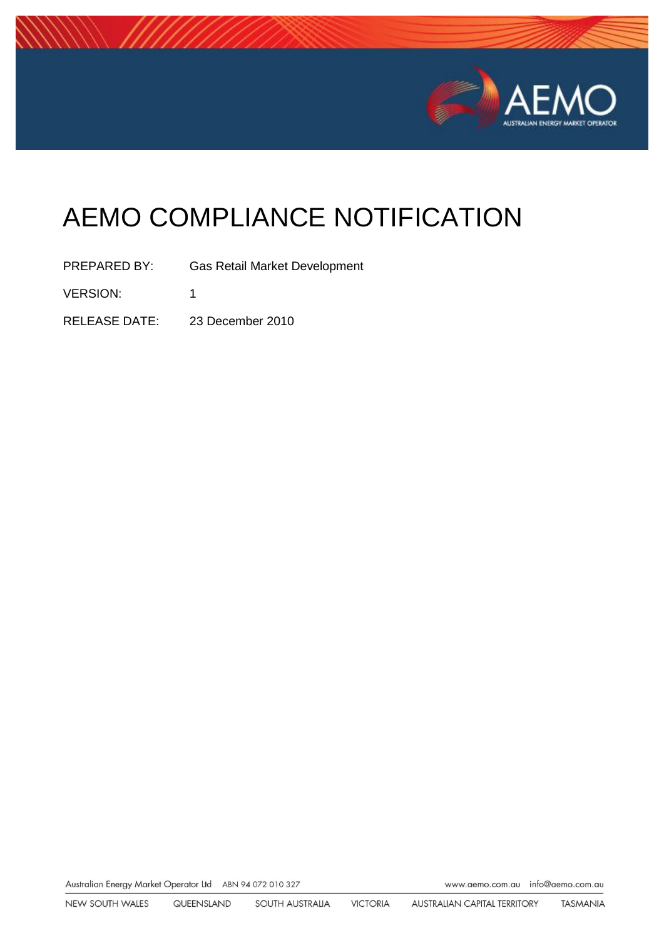

# AEMO COMPLIANCE NOTIFICATION

PREPARED BY: Gas Retail Market Development VERSION: 1 RELEASE DATE: 23 December 2010

Australian Energy Market Operator Ltd ABN 94 072 010 327

www.aemo.com.au info@aemo.com.au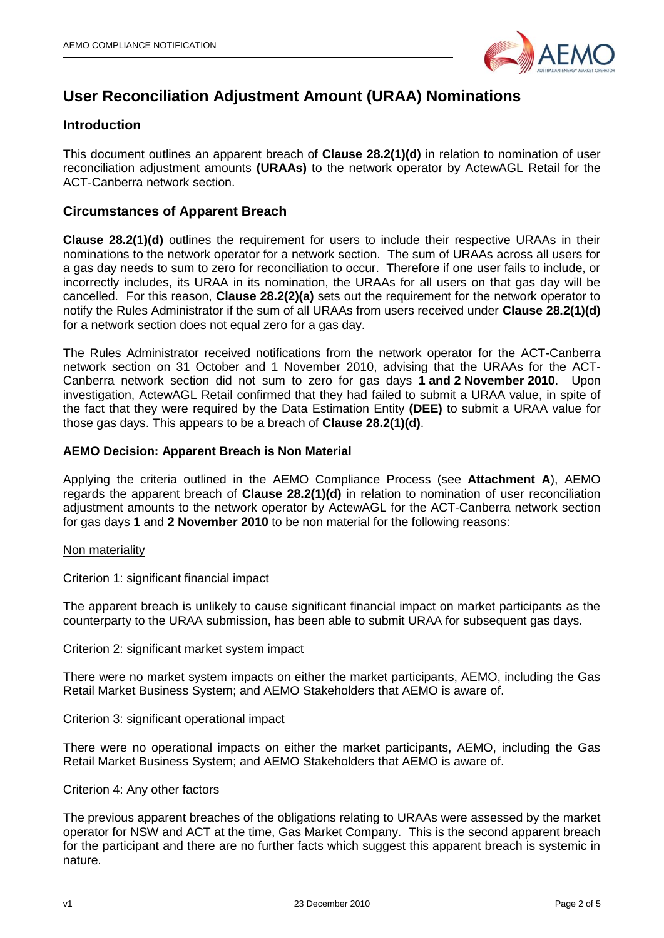

# **User Reconciliation Adjustment Amount (URAA) Nominations**

### **Introduction**

This document outlines an apparent breach of **Clause 28.2(1)(d)** in relation to nomination of user reconciliation adjustment amounts **(URAAs)** to the network operator by ActewAGL Retail for the ACT-Canberra network section.

### **Circumstances of Apparent Breach**

**Clause 28.2(1)(d)** outlines the requirement for users to include their respective URAAs in their nominations to the network operator for a network section. The sum of URAAs across all users for a gas day needs to sum to zero for reconciliation to occur. Therefore if one user fails to include, or incorrectly includes, its URAA in its nomination, the URAAs for all users on that gas day will be cancelled. For this reason, **Clause 28.2(2)(a)** sets out the requirement for the network operator to notify the Rules Administrator if the sum of all URAAs from users received under **Clause 28.2(1)(d)** for a network section does not equal zero for a gas day.

The Rules Administrator received notifications from the network operator for the ACT-Canberra network section on 31 October and 1 November 2010, advising that the URAAs for the ACT-Canberra network section did not sum to zero for gas days **1 and 2 November 2010**. Upon investigation, ActewAGL Retail confirmed that they had failed to submit a URAA value, in spite of the fact that they were required by the Data Estimation Entity **(DEE)** to submit a URAA value for those gas days. This appears to be a breach of **Clause 28.2(1)(d)**.

### **AEMO Decision: Apparent Breach is Non Material**

Applying the criteria outlined in the AEMO Compliance Process (see **Attachment A**), AEMO regards the apparent breach of **Clause 28.2(1)(d)** in relation to nomination of user reconciliation adjustment amounts to the network operator by ActewAGL for the ACT-Canberra network section for gas days **1** and **2 November 2010** to be non material for the following reasons:

#### Non materiality

Criterion 1: significant financial impact

The apparent breach is unlikely to cause significant financial impact on market participants as the counterparty to the URAA submission, has been able to submit URAA for subsequent gas days.

Criterion 2: significant market system impact

There were no market system impacts on either the market participants, AEMO, including the Gas Retail Market Business System; and AEMO Stakeholders that AEMO is aware of.

Criterion 3: significant operational impact

There were no operational impacts on either the market participants, AEMO, including the Gas Retail Market Business System; and AEMO Stakeholders that AEMO is aware of.

#### Criterion 4: Any other factors

The previous apparent breaches of the obligations relating to URAAs were assessed by the market operator for NSW and ACT at the time, Gas Market Company. This is the second apparent breach for the participant and there are no further facts which suggest this apparent breach is systemic in nature.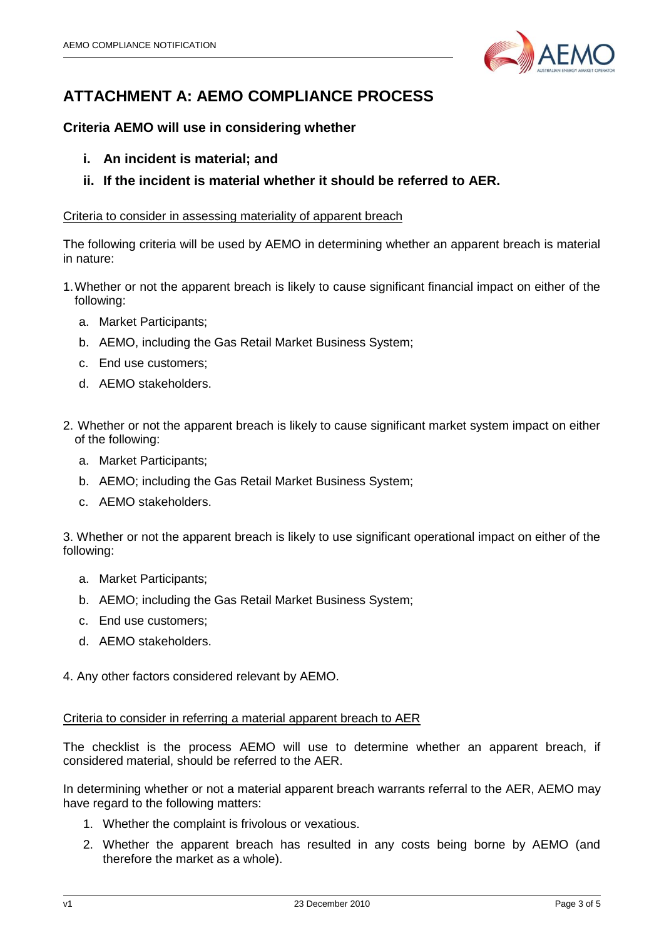

# **ATTACHMENT A: AEMO COMPLIANCE PROCESS**

# **Criteria AEMO will use in considering whether**

- **i. An incident is material; and**
- **ii. If the incident is material whether it should be referred to AER.**

### Criteria to consider in assessing materiality of apparent breach

The following criteria will be used by AEMO in determining whether an apparent breach is material in nature:

- 1.Whether or not the apparent breach is likely to cause significant financial impact on either of the following:
	- a. Market Participants;
	- b. AEMO, including the Gas Retail Market Business System;
	- c. End use customers;
	- d. AEMO stakeholders.
- 2. Whether or not the apparent breach is likely to cause significant market system impact on either of the following:
	- a. Market Participants;
	- b. AEMO; including the Gas Retail Market Business System;
	- c. AEMO stakeholders.

3. Whether or not the apparent breach is likely to use significant operational impact on either of the following:

- a. Market Participants;
- b. AEMO; including the Gas Retail Market Business System;
- c. End use customers;
- d. AEMO stakeholders.

4. Any other factors considered relevant by AEMO.

### Criteria to consider in referring a material apparent breach to AER

The checklist is the process AEMO will use to determine whether an apparent breach, if considered material, should be referred to the AER.

In determining whether or not a material apparent breach warrants referral to the AER, AEMO may have regard to the following matters:

- 1. Whether the complaint is frivolous or vexatious.
- 2. Whether the apparent breach has resulted in any costs being borne by AEMO (and therefore the market as a whole).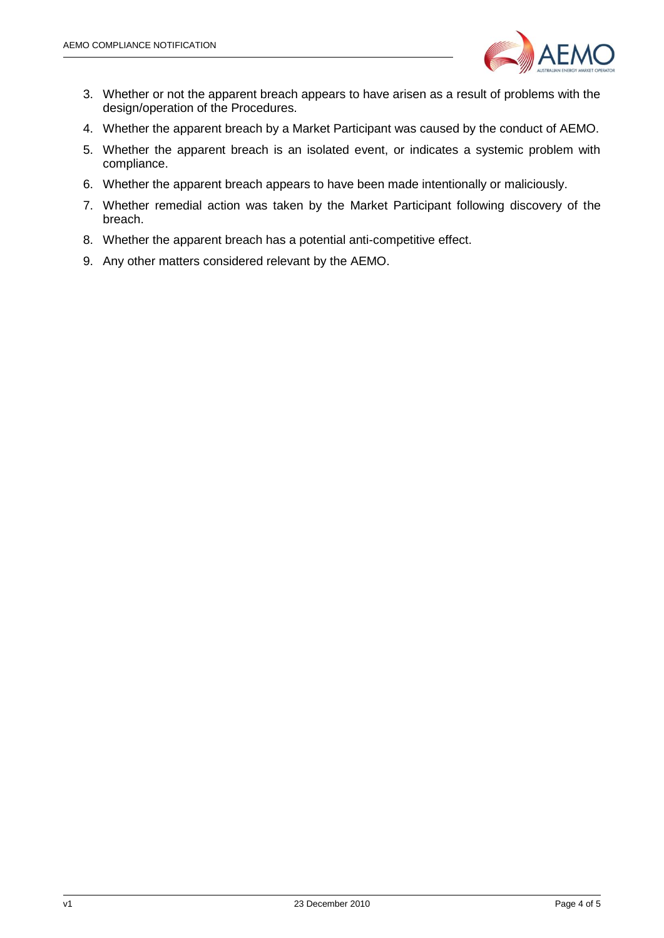

- 3. Whether or not the apparent breach appears to have arisen as a result of problems with the design/operation of the Procedures.
- 4. Whether the apparent breach by a Market Participant was caused by the conduct of AEMO.
- 5. Whether the apparent breach is an isolated event, or indicates a systemic problem with compliance.
- 6. Whether the apparent breach appears to have been made intentionally or maliciously.
- 7. Whether remedial action was taken by the Market Participant following discovery of the breach.
- 8. Whether the apparent breach has a potential anti-competitive effect.
- 9. Any other matters considered relevant by the AEMO.